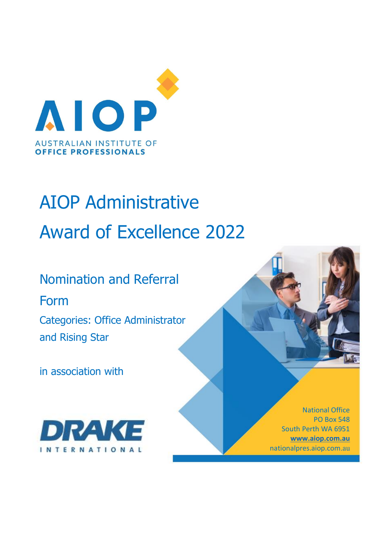

# AIOP Administrative Award of Excellence 2022

Nomination and Referral Form

Categories: Office Administrator and Rising Star

in association with



National Office PO Box 548 South Perth WA 6951 **www.aiop.com.au** nationalpres.aiop.com.au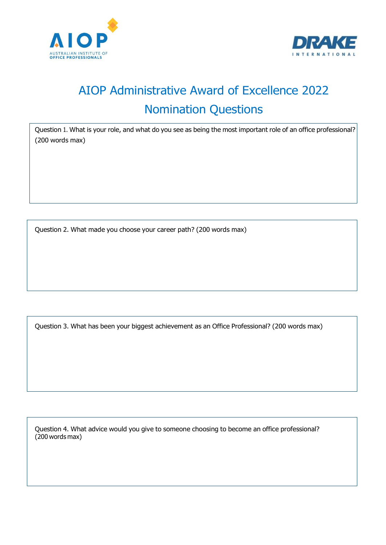



# AIOP Administrative Award of Excellence 2022 Nomination Questions

Question 1. What is your role, and what do you see as being the most important role of an office professional? (200 words max)

Question 2. What made you choose your career path? (200 words max)

Question 3. What has been your biggest achievement as an Office Professional? (200 words max)

Question 4. What advice would you give to someone choosing to become an office professional? (200 words max)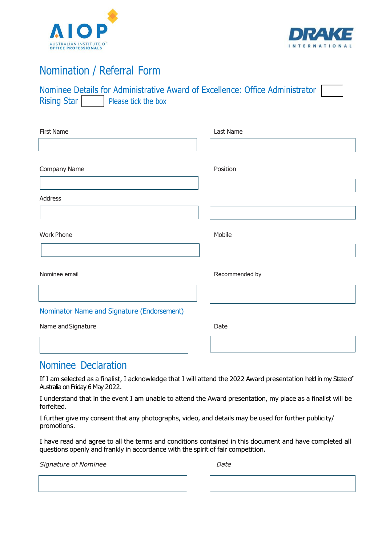



### Nomination / Referral Form

|                    | Nominee Details for Administrative Award of Excellence: Office Administrator |  |  |  |
|--------------------|------------------------------------------------------------------------------|--|--|--|
| <b>Rising Star</b> | Please tick the box                                                          |  |  |  |

| <b>First Name</b>                          | Last Name      |
|--------------------------------------------|----------------|
| Company Name                               | Position       |
| Address                                    |                |
| <b>Work Phone</b>                          | Mobile         |
|                                            |                |
| Nominee email                              | Recommended by |
| Nominator Name and Signature (Endorsement) |                |
| Name and Signature                         | Date           |

#### Nominee Declaration

If I am selected as a finalist, I acknowledge that I will attend the 2022 Award presentation held in my State of Australia on Friday 6 May 2022.

I understand that in the event I am unable to attend the Award presentation, my place as a finalist will be forfeited.

I further give my consent that any photographs, video, and details may be used for further publicity/ promotions.

I have read and agree to all the terms and conditions contained in this document and have completed all questions openly and frankly in accordance with the spirit of fair competition.

**Signature of Nominee Community Community** Date